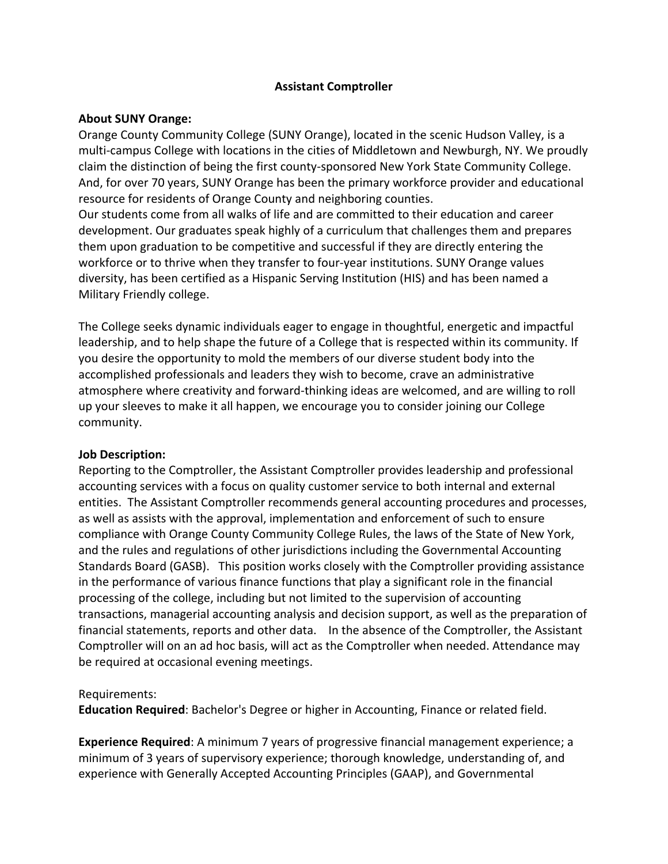### **Assistant Comptroller**

### **About SUNY Orange:**

Orange County Community College (SUNY Orange), located in the scenic Hudson Valley, is a multi-campus College with locations in the cities of Middletown and Newburgh, NY. We proudly claim the distinction of being the first county‐sponsored New York State Community College. And, for over 70 years, SUNY Orange has been the primary workforce provider and educational resource for residents of Orange County and neighboring counties. Our students come from all walks of life and are committed to their education and career development. Our graduates speak highly of a curriculum that challenges them and prepares them upon graduation to be competitive and successful if they are directly entering the workforce or to thrive when they transfer to four-year institutions. SUNY Orange values diversity, has been certified as a Hispanic Serving Institution (HIS) and has been named a Military Friendly college.

The College seeks dynamic individuals eager to engage in thoughtful, energetic and impactful leadership, and to help shape the future of a College that is respected within its community. If you desire the opportunity to mold the members of our diverse student body into the accomplished professionals and leaders they wish to become, crave an administrative atmosphere where creativity and forward‐thinking ideas are welcomed, and are willing to roll up your sleeves to make it all happen, we encourage you to consider joining our College community.

### **Job Description:**

Reporting to the Comptroller, the Assistant Comptroller provides leadership and professional accounting services with a focus on quality customer service to both internal and external entities. The Assistant Comptroller recommends general accounting procedures and processes, as well as assists with the approval, implementation and enforcement of such to ensure compliance with Orange County Community College Rules, the laws of the State of New York, and the rules and regulations of other jurisdictions including the Governmental Accounting Standards Board (GASB). This position works closely with the Comptroller providing assistance in the performance of various finance functions that play a significant role in the financial processing of the college, including but not limited to the supervision of accounting transactions, managerial accounting analysis and decision support, as well as the preparation of financial statements, reports and other data. In the absence of the Comptroller, the Assistant Comptroller will on an ad hoc basis, will act as the Comptroller when needed. Attendance may be required at occasional evening meetings.

### Requirements:

**Education Required**: Bachelor's Degree or higher in Accounting, Finance or related field.

**Experience Required**: A minimum 7 years of progressive financial management experience; a minimum of 3 years of supervisory experience; thorough knowledge, understanding of, and experience with Generally Accepted Accounting Principles (GAAP), and Governmental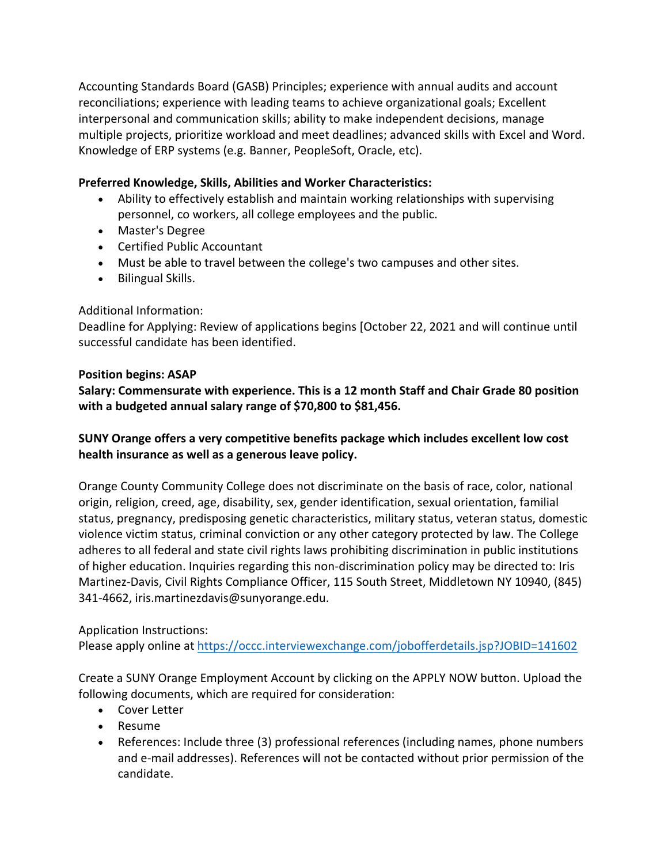Accounting Standards Board (GASB) Principles; experience with annual audits and account reconciliations; experience with leading teams to achieve organizational goals; Excellent interpersonal and communication skills; ability to make independent decisions, manage multiple projects, prioritize workload and meet deadlines; advanced skills with Excel and Word. Knowledge of ERP systems (e.g. Banner, PeopleSoft, Oracle, etc).

### **Preferred Knowledge, Skills, Abilities and Worker Characteristics:**

- Ability to effectively establish and maintain working relationships with supervising personnel, co workers, all college employees and the public.
- Master's Degree
- Certified Public Accountant
- Must be able to travel between the college's two campuses and other sites.
- Bilingual Skills.

# Additional Information:

Deadline for Applying: Review of applications begins [October 22, 2021 and will continue until successful candidate has been identified.

### **Position begins: ASAP**

**Salary: Commensurate with experience. This is a 12 month Staff and Chair Grade 80 position with a budgeted annual salary range of \$70,800 to \$81,456.**

# **SUNY Orange offers a very competitive benefits package which includes excellent low cost health insurance as well as a generous leave policy.**

Orange County Community College does not discriminate on the basis of race, color, national origin, religion, creed, age, disability, sex, gender identification, sexual orientation, familial status, pregnancy, predisposing genetic characteristics, military status, veteran status, domestic violence victim status, criminal conviction or any other category protected by law. The College adheres to all federal and state civil rights laws prohibiting discrimination in public institutions of higher education. Inquiries regarding this non‐discrimination policy may be directed to: Iris Martinez‐Davis, Civil Rights Compliance Officer, 115 South Street, Middletown NY 10940, (845) 341‐4662, iris.martinezdavis@sunyorange.edu.

# Application Instructions:

Please apply online at https://occc.interviewexchange.com/jobofferdetails.jsp?JOBID=141602

Create a SUNY Orange Employment Account by clicking on the APPLY NOW button. Upload the following documents, which are required for consideration:

- Cover Letter
- Resume
- References: Include three (3) professional references (including names, phone numbers and e‐mail addresses). References will not be contacted without prior permission of the candidate.